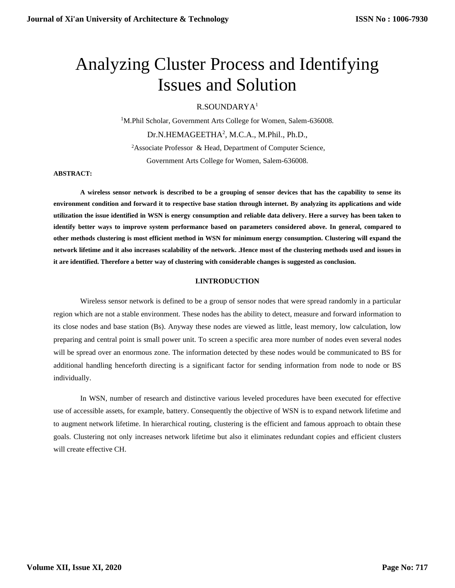# Analyzing Cluster Process and Identifying Issues and Solution

R.SOUNDARYA<sup>1</sup>

<sup>1</sup>M.Phil Scholar, Government Arts College for Women, Salem-636008. Dr.N.HEMAGEETHA<sup>2</sup>, M.C.A., M.Phil., Ph.D., <sup>2</sup>Associate Professor & Head, Department of Computer Science,

Government Arts College for Women, Salem-636008.

#### **ABSTRACT:**

**A wireless sensor network is described to be a grouping of sensor devices that has the capability to sense its environment condition and forward it to respective base station through internet. By analyzing its applications and wide utilization the issue identified in WSN is energy consumption and reliable data delivery. Here a survey has been taken to identify better ways to improve system performance based on parameters considered above. In general, compared to other methods clustering is most efficient method in WSN for minimum energy consumption. Clustering will expand the network lifetime and it also increases scalability of the network. .Hence most of the clustering methods used and issues in it are identified. Therefore a better way of clustering with considerable changes is suggested as conclusion.**

## **I.INTRODUCTION**

Wireless sensor network is defined to be a group of sensor nodes that were spread randomly in a particular region which are not a stable environment. These nodes has the ability to detect, measure and forward information to its close nodes and base station (Bs). Anyway these nodes are viewed as little, least memory, low calculation, low preparing and central point is small power unit. To screen a specific area more number of nodes even several nodes will be spread over an enormous zone. The information detected by these nodes would be communicated to BS for additional handling henceforth directing is a significant factor for sending information from node to node or BS individually.

In WSN, number of research and distinctive various leveled procedures have been executed for effective use of accessible assets, for example, battery. Consequently the objective of WSN is to expand network lifetime and to augment network lifetime. In hierarchical routing, clustering is the efficient and famous approach to obtain these goals. Clustering not only increases network lifetime but also it eliminates redundant copies and efficient clusters will create effective CH.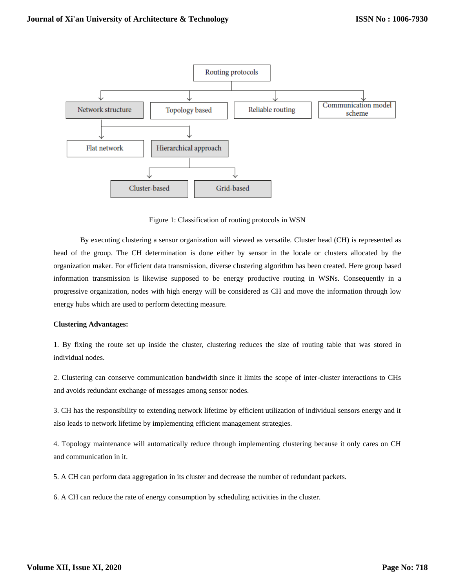

Figure 1: Classification of routing protocols in WSN

By executing clustering a sensor organization will viewed as versatile. Cluster head (CH) is represented as head of the group. The CH determination is done either by sensor in the locale or clusters allocated by the organization maker. For efficient data transmission, diverse clustering algorithm has been created. Here group based information transmission is likewise supposed to be energy productive routing in WSNs. Consequently in a progressive organization, nodes with high energy will be considered as CH and move the information through low energy hubs which are used to perform detecting measure.

# **Clustering Advantages:**

1. By fixing the route set up inside the cluster, clustering reduces the size of routing table that was stored in individual nodes.

2. Clustering can conserve communication bandwidth since it limits the scope of inter-cluster interactions to CHs and avoids redundant exchange of messages among sensor nodes.

3. CH has the responsibility to extending network lifetime by efficient utilization of individual sensors energy and it also leads to network lifetime by implementing efficient management strategies.

4. Topology maintenance will automatically reduce through implementing clustering because it only cares on CH and communication in it.

5. A CH can perform data aggregation in its cluster and decrease the number of redundant packets.

6. A CH can reduce the rate of energy consumption by scheduling activities in the cluster.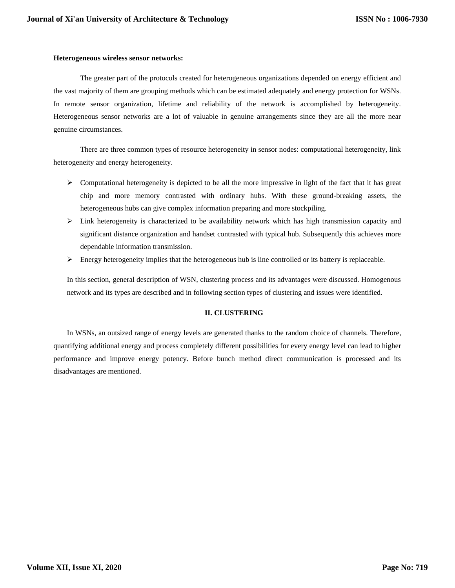#### **Heterogeneous wireless sensor networks:**

The greater part of the protocols created for heterogeneous organizations depended on energy efficient and the vast majority of them are grouping methods which can be estimated adequately and energy protection for WSNs. In remote sensor organization, lifetime and reliability of the network is accomplished by heterogeneity. Heterogeneous sensor networks are a lot of valuable in genuine arrangements since they are all the more near genuine circumstances.

There are three common types of resource heterogeneity in sensor nodes: computational heterogeneity, link heterogeneity and energy heterogeneity.

- $\triangleright$  Computational heterogeneity is depicted to be all the more impressive in light of the fact that it has great chip and more memory contrasted with ordinary hubs. With these ground-breaking assets, the heterogeneous hubs can give complex information preparing and more stockpiling.
- $\triangleright$  Link heterogeneity is characterized to be availability network which has high transmission capacity and significant distance organization and handset contrasted with typical hub. Subsequently this achieves more dependable information transmission.
- $\triangleright$  Energy heterogeneity implies that the heterogeneous hub is line controlled or its battery is replaceable.

In this section, general description of WSN, clustering process and its advantages were discussed. Homogenous network and its types are described and in following section types of clustering and issues were identified.

# **II. CLUSTERING**

In WSNs, an outsized range of energy levels are generated thanks to the random choice of channels. Therefore, quantifying additional energy and process completely different possibilities for every energy level can lead to higher performance and improve energy potency. Before bunch method direct communication is processed and its disadvantages are mentioned.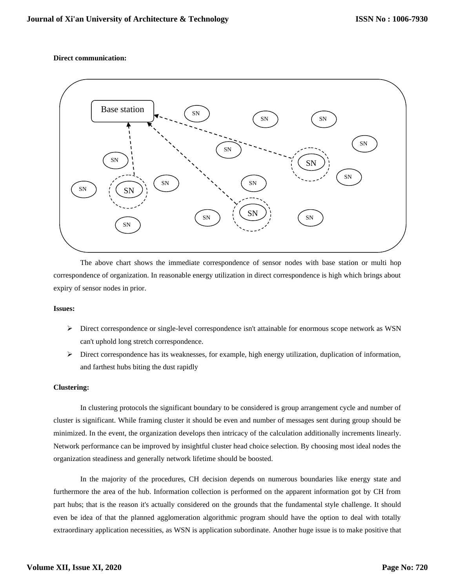## **Direct communication:**



The above chart shows the immediate correspondence of sensor nodes with base station or multi hop correspondence of organization. In reasonable energy utilization in direct correspondence is high which brings about expiry of sensor nodes in prior.

#### **Issues:**

- ➢ Direct correspondence or single-level correspondence isn't attainable for enormous scope network as WSN can't uphold long stretch correspondence.
- ➢ Direct correspondence has its weaknesses, for example, high energy utilization, duplication of information, and farthest hubs biting the dust rapidly

#### **Clustering:**

In clustering protocols the significant boundary to be considered is group arrangement cycle and number of cluster is significant. While framing cluster it should be even and number of messages sent during group should be minimized. In the event, the organization develops then intricacy of the calculation additionally increments linearly. Network performance can be improved by insightful cluster head choice selection. By choosing most ideal nodes the organization steadiness and generally network lifetime should be boosted.

In the majority of the procedures, CH decision depends on numerous boundaries like energy state and furthermore the area of the hub. Information collection is performed on the apparent information got by CH from part hubs; that is the reason it's actually considered on the grounds that the fundamental style challenge. It should even be idea of that the planned agglomeration algorithmic program should have the option to deal with totally extraordinary application necessities, as WSN is application subordinate. Another huge issue is to make positive that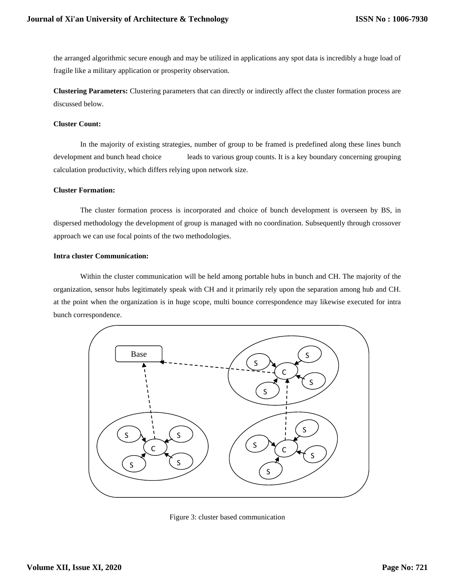the arranged algorithmic secure enough and may be utilized in applications any spot data is incredibly a huge load of fragile like a military application or prosperity observation.

**Clustering Parameters:** Clustering parameters that can directly or indirectly affect the cluster formation process are discussed below.

#### **Cluster Count:**

In the majority of existing strategies, number of group to be framed is predefined along these lines bunch development and bunch head choice leads to various group counts. It is a key boundary concerning grouping calculation productivity, which differs relying upon network size.

#### **Cluster Formation:**

The cluster formation process is incorporated and choice of bunch development is overseen by BS, in dispersed methodology the development of group is managed with no coordination. Subsequently through crossover approach we can use focal points of the two methodologies.

## **Intra cluster Communication:**

Within the cluster communication will be held among portable hubs in bunch and CH. The majority of the organization, sensor hubs legitimately speak with CH and it primarily rely upon the separation among hub and CH. at the point when the organization is in huge scope, multi bounce correspondence may likewise executed for intra bunch correspondence.



Figure 3: cluster based communication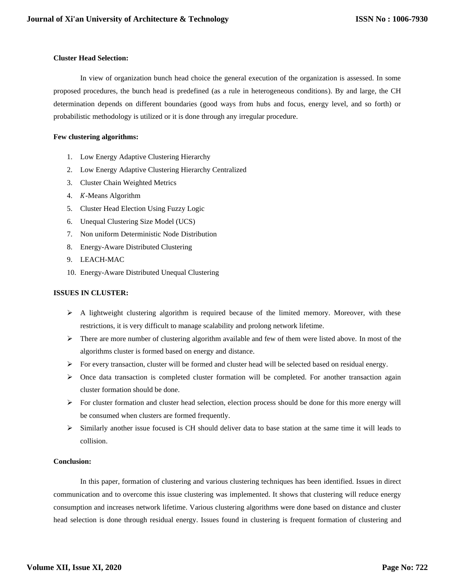# **Cluster Head Selection:**

In view of organization bunch head choice the general execution of the organization is assessed. In some proposed procedures, the bunch head is predefined (as a rule in heterogeneous conditions). By and large, the CH determination depends on different boundaries (good ways from hubs and focus, energy level, and so forth) or probabilistic methodology is utilized or it is done through any irregular procedure.

## **Few clustering algorithms:**

- 1. Low Energy Adaptive Clustering Hierarchy
- 2. Low Energy Adaptive Clustering Hierarchy Centralized
- 3. Cluster Chain Weighted Metrics
- 4. K-Means Algorithm
- 5. Cluster Head Election Using Fuzzy Logic
- 6. Unequal Clustering Size Model (UCS)
- 7. Non uniform Deterministic Node Distribution
- 8. Energy-Aware Distributed Clustering
- 9. LEACH-MAC
- 10. Energy-Aware Distributed Unequal Clustering

## **ISSUES IN CLUSTER:**

- ➢ A lightweight clustering algorithm is required because of the limited memory. Moreover, with these restrictions, it is very difficult to manage scalability and prolong network lifetime.
- ➢ There are more number of clustering algorithm available and few of them were listed above. In most of the algorithms cluster is formed based on energy and distance.
- $\triangleright$  For every transaction, cluster will be formed and cluster head will be selected based on residual energy.
- ➢ Once data transaction is completed cluster formation will be completed. For another transaction again cluster formation should be done.
- ➢ For cluster formation and cluster head selection, election process should be done for this more energy will be consumed when clusters are formed frequently.
- ➢ Similarly another issue focused is CH should deliver data to base station at the same time it will leads to collision.

# **Conclusion:**

In this paper, formation of clustering and various clustering techniques has been identified. Issues in direct communication and to overcome this issue clustering was implemented. It shows that clustering will reduce energy consumption and increases network lifetime. Various clustering algorithms were done based on distance and cluster head selection is done through residual energy. Issues found in clustering is frequent formation of clustering and